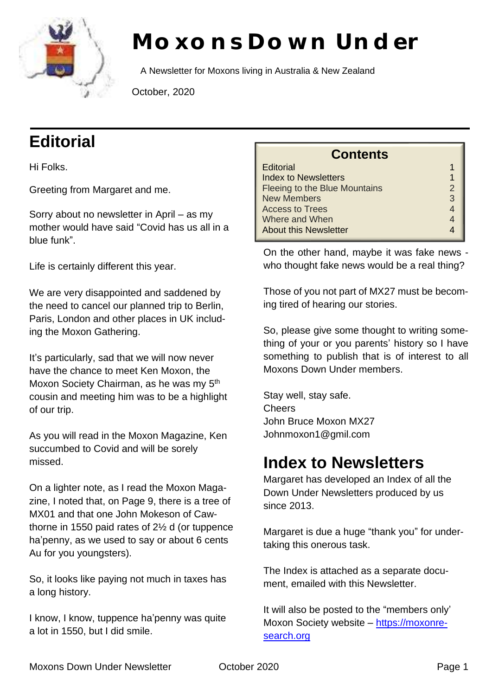

# **Moxons Down Under**

A Newsletter for Moxons living in Australia & New Zealand

October, 2020

## **Editorial**

Hi Folks.

Greeting from Margaret and me.

Sorry about no newsletter in April – as my mother would have said "Covid has us all in a blue funk".

Life is certainly different this year.

We are very disappointed and saddened by the need to cancel our planned trip to Berlin, Paris, London and other places in UK including the Moxon Gathering.

It's particularly, sad that we will now never have the chance to meet Ken Moxon, the Moxon Society Chairman, as he was my 5<sup>th</sup> cousin and meeting him was to be a highlight of our trip.

As you will read in the Moxon Magazine, Ken succumbed to Covid and will be sorely missed.

On a lighter note, as I read the Moxon Magazine, I noted that, on Page 9, there is a tree of MX01 and that one John Mokeson of Cawthorne in 1550 paid rates of 2½ d (or tuppence ha'penny, as we used to say or about 6 cents Au for you youngsters).

So, it looks like paying not much in taxes has a long history.

I know, I know, tuppence ha'penny was quite a lot in 1550, but I did smile.

| <b>Contents</b>                      |              |
|--------------------------------------|--------------|
| Editorial                            |              |
| <b>Index to Newsletters</b>          |              |
| <b>Fleeing to the Blue Mountains</b> | $\mathcal P$ |
| <b>New Members</b>                   | 3            |
| <b>Access to Trees</b>               |              |
| Where and When                       |              |
| <b>About this Newsletter</b>         |              |

On the other hand, maybe it was fake news who thought fake news would be a real thing?

Those of you not part of MX27 must be becoming tired of hearing our stories.

So, please give some thought to writing something of your or you parents' history so I have something to publish that is of interest to all Moxons Down Under members.

Stay well, stay safe. Cheers John Bruce Moxon MX27 Johnmoxon1@gmil.com

### **Index to Newsletters**

Margaret has developed an Index of all the Down Under Newsletters produced by us since 2013.

Margaret is due a huge "thank you" for undertaking this onerous task.

The Index is attached as a separate document, emailed with this Newsletter.

It will also be posted to the "members only' Moxon Society website – https://moxonresearch.org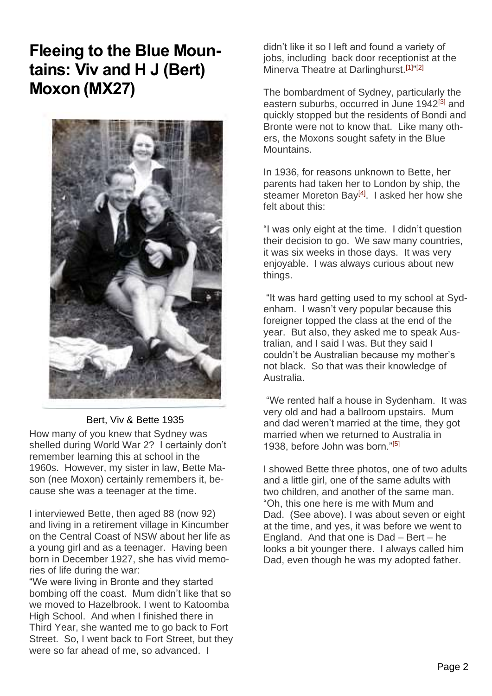### **Fleeing to the Blue Mountains: Viv and H J (Bert) Moxon (MX27)**



#### Bert, Viv & Bette 1935

How many of you knew that Sydney was shelled during World War 2? I certainly don't remember learning this at school in the 1960s. However, my sister in law, Bette Mason (nee Moxon) certainly remembers it, because she was a teenager at the time.

I interviewed Bette, then aged 88 (now 92) and living in a retirement village in Kincumber on the Central Coast of NSW about her life as a young girl and as a teenager. Having been born in December 1927, she has vivid memories of life during the war:

"We were living in Bronte and they started bombing off the coast. Mum didn't like that so we moved to Hazelbrook. I went to Katoomba High School. And when I finished there in Third Year, she wanted me to go back to Fort Street. So, I went back to Fort Street, but they were so far ahead of me, so advanced. I

didn't like it so I left and found a variety of jobs, including back door receptionist at the Minerva Theatre at Darlinghurst.<sup>[1]"[2]</sup>

The bombardment of Sydney, particularly the eastern suburbs, occurred in June 1942<sup>[3]</sup> and quickly stopped but the residents of Bondi and Bronte were not to know that. Like many others, the Moxons sought safety in the Blue Mountains.

In 1936, for reasons unknown to Bette, her parents had taken her to London by ship, the steamer Moreton Bay<sup>[4]</sup>. I asked her how she felt about this:

"I was only eight at the time. I didn't question their decision to go. We saw many countries, it was six weeks in those days. It was very enjoyable. I was always curious about new things.

"It was hard getting used to my school at Sydenham. I wasn't very popular because this foreigner topped the class at the end of the year. But also, they asked me to speak Australian, and I said I was. But they said I couldn't be Australian because my mother's not black. So that was their knowledge of Australia.

"We rented half a house in Sydenham. It was very old and had a ballroom upstairs. Mum and dad weren't married at the time, they got married when we returned to Australia in 1938, before John was born."[5]

I showed Bette three photos, one of two adults and a little girl, one of the same adults with two children, and another of the same man. "Oh, this one here is me with Mum and Dad. (See above). I was about seven or eight at the time, and yes, it was before we went to England. And that one is Dad – Bert – he looks a bit younger there. I always called him Dad, even though he was my adopted father.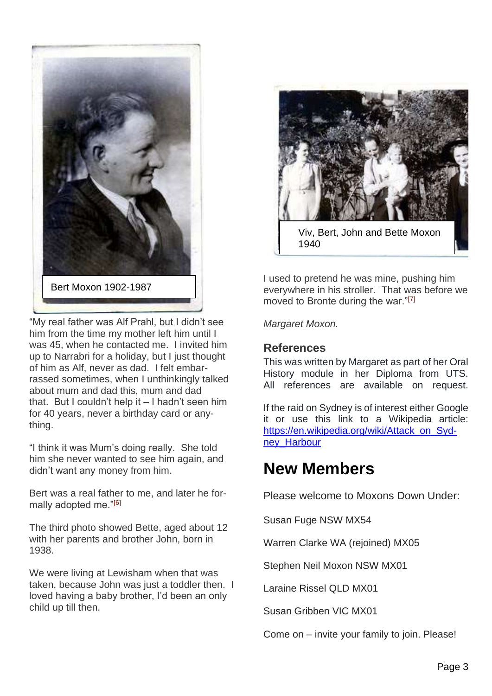

"My real father was Alf Prahl, but I didn't see him from the time my mother left him until I was 45, when he contacted me. I invited him up to Narrabri for a holiday, but I just thought of him as Alf, never as dad. I felt embarrassed sometimes, when I unthinkingly talked about mum and dad this, mum and dad that. But I couldn't help it – I hadn't seen him for 40 years, never a birthday card or anything.

"I think it was Mum's doing really. She told him she never wanted to see him again, and didn't want any money from him.

Bert was a real father to me, and later he formally adopted me."[6]

The third photo showed Bette, aged about 12 with her parents and brother John, born in 1938.

We were living at Lewisham when that was taken, because John was just a toddler then. I loved having a baby brother, I'd been an only child up till then.



I used to pretend he was mine, pushing him everywhere in his stroller. That was before we moved to Bronte during the war."[7]

*Margaret Moxon.*

#### **References**

This was written by Margaret as part of her Oral History module in her Diploma from UTS. All references are available on request.

If the raid on Sydney is of interest either Google it or use this link to a Wikipedia article: https://en.wikipedia.org/wiki/Attack\_on\_Sydney\_Harbour

### **New Members**

Please welcome to Moxons Down Under:

Susan Fuge NSW MX54

Warren Clarke WA (rejoined) MX05

Stephen Neil Moxon NSW MX01

Laraine Rissel QLD MX01

Susan Gribben VIC MX01

Come on – invite your family to join. Please!